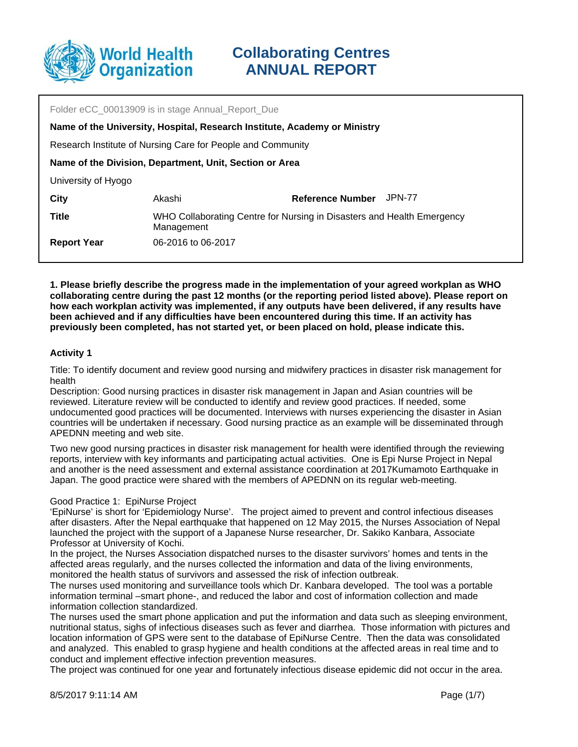

Folder eCC 00013909 is in stage Annual\_Report\_Due Akashi Research Institute of Nursing Care for People and Community **Name of the Division, Department, Unit, Section or Area** University of Hyogo **City Reference Number** JPN-77 **Name of the University, Hospital, Research Institute, Academy or Ministry Title** WHO Collaborating Centre for Nursing in Disasters and Health Emergency Management **Report Year** 06-2016 to 06-2017

**1. Please briefly describe the progress made in the implementation of your agreed workplan as WHO collaborating centre during the past 12 months (or the reporting period listed above). Please report on how each workplan activity was implemented, if any outputs have been delivered, if any results have been achieved and if any difficulties have been encountered during this time. If an activity has previously been completed, has not started yet, or been placed on hold, please indicate this.**

## **Activity 1**

Title: To identify document and review good nursing and midwifery practices in disaster risk management for health

Description: Good nursing practices in disaster risk management in Japan and Asian countries will be reviewed. Literature review will be conducted to identify and review good practices. If needed, some undocumented good practices will be documented. Interviews with nurses experiencing the disaster in Asian countries will be undertaken if necessary. Good nursing practice as an example will be disseminated through APEDNN meeting and web site.

Two new good nursing practices in disaster risk management for health were identified through the reviewing reports, interview with key informants and participating actual activities. One is Epi Nurse Project in Nepal and another is the need assessment and external assistance coordination at 2017Kumamoto Earthquake in Japan. The good practice were shared with the members of APEDNN on its regular web-meeting.

### Good Practice 1: EpiNurse Project

'EpiNurse' is short for 'Epidemiology Nurse'. The project aimed to prevent and control infectious diseases after disasters. After the Nepal earthquake that happened on 12 May 2015, the Nurses Association of Nepal launched the project with the support of a Japanese Nurse researcher, Dr. Sakiko Kanbara, Associate Professor at University of Kochi.

In the project, the Nurses Association dispatched nurses to the disaster survivors' homes and tents in the affected areas regularly, and the nurses collected the information and data of the living environments, monitored the health status of survivors and assessed the risk of infection outbreak.

The nurses used monitoring and surveillance tools which Dr. Kanbara developed. The tool was a portable information terminal –smart phone-, and reduced the labor and cost of information collection and made information collection standardized.

The nurses used the smart phone application and put the information and data such as sleeping environment, nutritional status, sighs of infectious diseases such as fever and diarrhea. Those information with pictures and location information of GPS were sent to the database of EpiNurse Centre. Then the data was consolidated and analyzed. This enabled to grasp hygiene and health conditions at the affected areas in real time and to conduct and implement effective infection prevention measures.

The project was continued for one year and fortunately infectious disease epidemic did not occur in the area.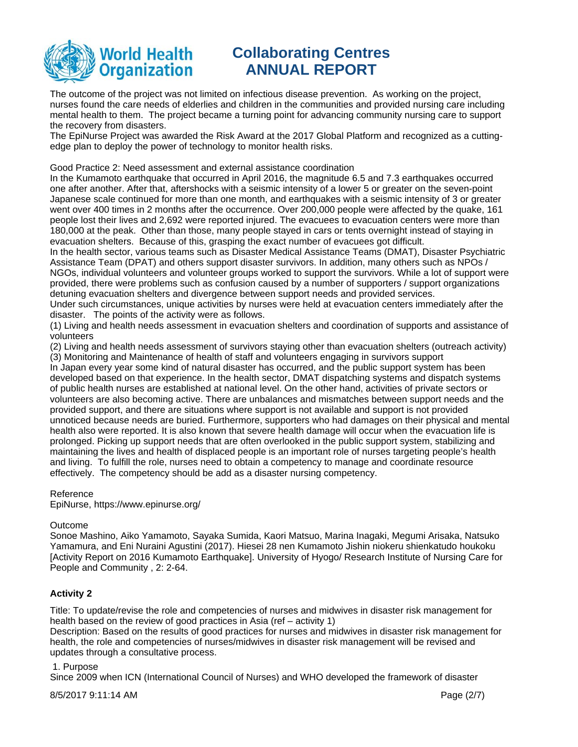

The outcome of the project was not limited on infectious disease prevention. As working on the project, nurses found the care needs of elderlies and children in the communities and provided nursing care including mental health to them. The project became a turning point for advancing community nursing care to support the recovery from disasters.

The EpiNurse Project was awarded the Risk Award at the 2017 Global Platform and recognized as a cuttingedge plan to deploy the power of technology to monitor health risks.

Good Practice 2: Need assessment and external assistance coordination

In the Kumamoto earthquake that occurred in April 2016, the magnitude 6.5 and 7.3 earthquakes occurred one after another. After that, aftershocks with a seismic intensity of a lower 5 or greater on the seven-point Japanese scale continued for more than one month, and earthquakes with a seismic intensity of 3 or greater went over 400 times in 2 months after the occurrence. Over 200,000 people were affected by the quake, 161 people lost their lives and 2,692 were reported injured. The evacuees to evacuation centers were more than 180,000 at the peak. Other than those, many people stayed in cars or tents overnight instead of staying in evacuation shelters. Because of this, grasping the exact number of evacuees got difficult.

In the health sector, various teams such as Disaster Medical Assistance Teams (DMAT), Disaster Psychiatric Assistance Team (DPAT) and others support disaster survivors. In addition, many others such as NPOs / NGOs, individual volunteers and volunteer groups worked to support the survivors. While a lot of support were provided, there were problems such as confusion caused by a number of supporters / support organizations detuning evacuation shelters and divergence between support needs and provided services.

Under such circumstances, unique activities by nurses were held at evacuation centers immediately after the disaster. The points of the activity were as follows.

(1) Living and health needs assessment in evacuation shelters and coordination of supports and assistance of volunteers

(2) Living and health needs assessment of survivors staying other than evacuation shelters (outreach activity) (3) Monitoring and Maintenance of health of staff and volunteers engaging in survivors support

In Japan every year some kind of natural disaster has occurred, and the public support system has been developed based on that experience. In the health sector, DMAT dispatching systems and dispatch systems of public health nurses are established at national level. On the other hand, activities of private sectors or volunteers are also becoming active. There are unbalances and mismatches between support needs and the provided support, and there are situations where support is not available and support is not provided unnoticed because needs are buried. Furthermore, supporters who had damages on their physical and mental health also were reported. It is also known that severe health damage will occur when the evacuation life is prolonged. Picking up support needs that are often overlooked in the public support system, stabilizing and maintaining the lives and health of displaced people is an important role of nurses targeting people's health and living. To fulfill the role, nurses need to obtain a competency to manage and coordinate resource effectively. The competency should be add as a disaster nursing competency.

### Reference

EpiNurse, https://www.epinurse.org/

### **Outcome**

Sonoe Mashino, Aiko Yamamoto, Sayaka Sumida, Kaori Matsuo, Marina Inagaki, Megumi Arisaka, Natsuko Yamamura, and Eni Nuraini Agustini (2017). Hiesei 28 nen Kumamoto Jishin niokeru shienkatudo houkoku [Activity Report on 2016 Kumamoto Earthquake]. University of Hyogo/ Research Institute of Nursing Care for People and Community , 2: 2-64.

## **Activity 2**

Title: To update/revise the role and competencies of nurses and midwives in disaster risk management for health based on the review of good practices in Asia (ref – activity 1)

Description: Based on the results of good practices for nurses and midwives in disaster risk management for health, the role and competencies of nurses/midwives in disaster risk management will be revised and updates through a consultative process.

## 1. Purpose

Since 2009 when ICN (International Council of Nurses) and WHO developed the framework of disaster

8/5/2017 9:11:14 AM Page (2/7)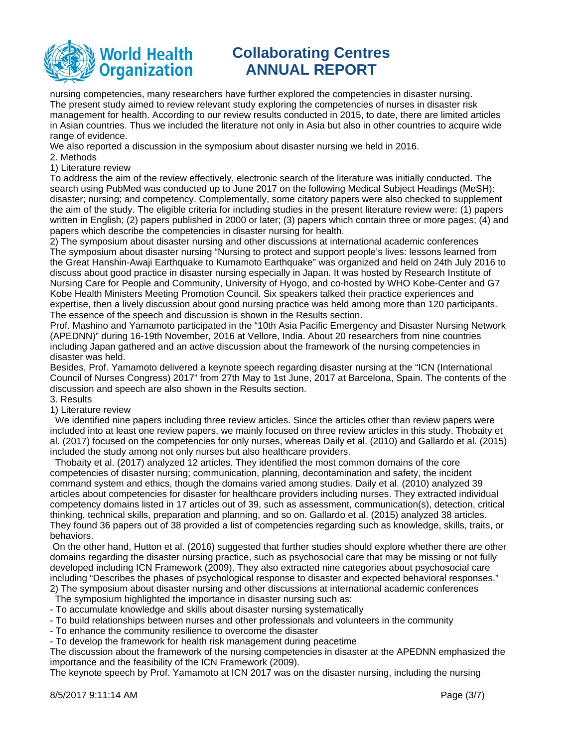

nursing competencies, many researchers have further explored the competencies in disaster nursing. The present study aimed to review relevant study exploring the competencies of nurses in disaster risk management for health. According to our review results conducted in 2015, to date, there are limited articles in Asian countries. Thus we included the literature not only in Asia but also in other countries to acquire wide range of evidence.

We also reported a discussion in the symposium about disaster nursing we held in 2016.

- 2. Methods
- 1) Literature review

To address the aim of the review effectively, electronic search of the literature was initially conducted. The search using PubMed was conducted up to June 2017 on the following Medical Subject Headings (MeSH): disaster; nursing; and competency. Complementally, some citatory papers were also checked to supplement the aim of the study. The eligible criteria for including studies in the present literature review were: (1) papers written in English; (2) papers published in 2000 or later; (3) papers which contain three or more pages; (4) and papers which describe the competencies in disaster nursing for health.

2) The symposium about disaster nursing and other discussions at international academic conferences The symposium about disaster nursing "Nursing to protect and support people's lives: lessons learned from the Great Hanshin-Awaji Earthquake to Kumamoto Earthquake" was organized and held on 24th July 2016 to discuss about good practice in disaster nursing especially in Japan. It was hosted by Research Institute of Nursing Care for People and Community, University of Hyogo, and co-hosted by WHO Kobe-Center and G7 Kobe Health Ministers Meeting Promotion Council. Six speakers talked their practice experiences and expertise, then a lively discussion about good nursing practice was held among more than 120 participants. The essence of the speech and discussion is shown in the Results section.

Prof. Mashino and Yamamoto participated in the "10th Asia Pacific Emergency and Disaster Nursing Network (APEDNN)" during 16-19th November, 2016 at Vellore, India. About 20 researchers from nine countries including Japan gathered and an active discussion about the framework of the nursing competencies in disaster was held.

Besides, Prof. Yamamoto delivered a keynote speech regarding disaster nursing at the "ICN (International Council of Nurses Congress) 2017" from 27th May to 1st June, 2017 at Barcelona, Spain. The contents of the discussion and speech are also shown in the Results section.

## 3. Results

### 1) Literature review

We identified nine papers including three review articles. Since the articles other than review papers were included into at least one review papers, we mainly focused on three review articles in this study. Thobaity et al. (2017) focused on the competencies for only nurses, whereas Daily et al. (2010) and Gallardo et al. (2015) included the study among not only nurses but also healthcare providers.

 Thobaity et al. (2017) analyzed 12 articles. They identified the most common domains of the core competencies of disaster nursing; communication, planning, decontamination and safety, the incident command system and ethics, though the domains varied among studies. Daily et al. (2010) analyzed 39 articles about competencies for disaster for healthcare providers including nurses. They extracted individual competency domains listed in 17 articles out of 39, such as assessment, communication(s), detection, critical thinking, technical skills, preparation and planning, and so on. Gallardo et al. (2015) analyzed 38 articles. They found 36 papers out of 38 provided a list of competencies regarding such as knowledge, skills, traits, or behaviors.

 On the other hand, Hutton et al. (2016) suggested that further studies should explore whether there are other domains regarding the disaster nursing practice, such as psychosocial care that may be missing or not fully developed including ICN Framework (2009). They also extracted nine categories about psychosocial care including "Describes the phases of psychological response to disaster and expected behavioral responses." 2) The symposium about disaster nursing and other discussions at international academic conferences

The symposium highlighted the importance in disaster nursing such as:

- To accumulate knowledge and skills about disaster nursing systematically

- To build relationships between nurses and other professionals and volunteers in the community

- To enhance the community resilience to overcome the disaster

- To develop the framework for health risk management during peacetime

The discussion about the framework of the nursing competencies in disaster at the APEDNN emphasized the importance and the feasibility of the ICN Framework (2009).

The keynote speech by Prof. Yamamoto at ICN 2017 was on the disaster nursing, including the nursing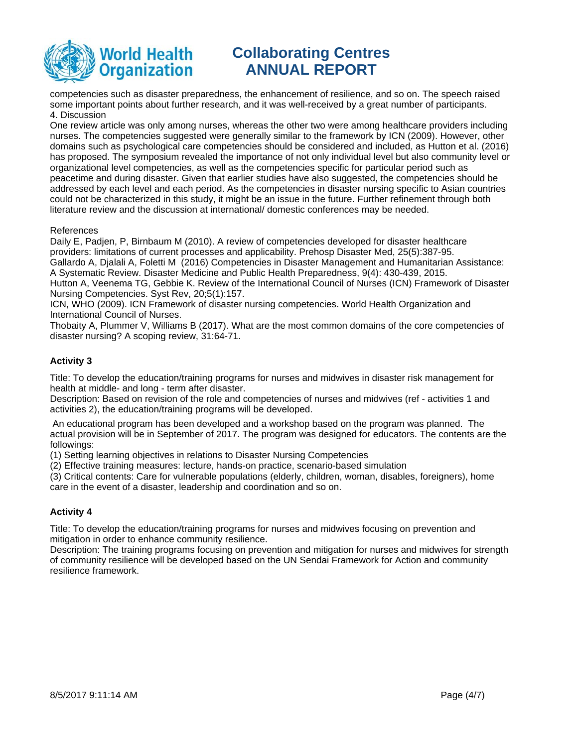

competencies such as disaster preparedness, the enhancement of resilience, and so on. The speech raised some important points about further research, and it was well-received by a great number of participants. 4. Discussion

One review article was only among nurses, whereas the other two were among healthcare providers including nurses. The competencies suggested were generally similar to the framework by ICN (2009). However, other domains such as psychological care competencies should be considered and included, as Hutton et al. (2016) has proposed. The symposium revealed the importance of not only individual level but also community level or organizational level competencies, as well as the competencies specific for particular period such as peacetime and during disaster. Given that earlier studies have also suggested, the competencies should be addressed by each level and each period. As the competencies in disaster nursing specific to Asian countries could not be characterized in this study, it might be an issue in the future. Further refinement through both literature review and the discussion at international/ domestic conferences may be needed.

#### References

Daily E, Padjen, P, Birnbaum M (2010). A review of competencies developed for disaster healthcare providers: limitations of current processes and applicability. Prehosp Disaster Med, 25(5):387-95. Gallardo A, Djalali A, Foletti M (2016) Competencies in Disaster Management and Humanitarian Assistance: A Systematic Review. Disaster Medicine and Public Health Preparedness, 9(4): 430-439, 2015.

Hutton A, Veenema TG, Gebbie K. Review of the International Council of Nurses (ICN) Framework of Disaster Nursing Competencies. Syst Rev, 20;5(1):157.

ICN, WHO (2009). ICN Framework of disaster nursing competencies. World Health Organization and International Council of Nurses.

Thobaity A, Plummer V, Williams B (2017). What are the most common domains of the core competencies of disaster nursing? A scoping review, 31:64-71.

## **Activity 3**

Title: To develop the education/training programs for nurses and midwives in disaster risk management for health at middle- and long - term after disaster.

Description: Based on revision of the role and competencies of nurses and midwives (ref - activities 1 and activities 2), the education/training programs will be developed.

 An educational program has been developed and a workshop based on the program was planned. The actual provision will be in September of 2017. The program was designed for educators. The contents are the followings:

(1) Setting learning objectives in relations to Disaster Nursing Competencies

(2) Effective training measures: lecture, hands-on practice, scenario-based simulation

(3) Critical contents: Care for vulnerable populations (elderly, children, woman, disables, foreigners), home care in the event of a disaster, leadership and coordination and so on.

## **Activity 4**

Title: To develop the education/training programs for nurses and midwives focusing on prevention and mitigation in order to enhance community resilience.

Description: The training programs focusing on prevention and mitigation for nurses and midwives for strength of community resilience will be developed based on the UN Sendai Framework for Action and community resilience framework.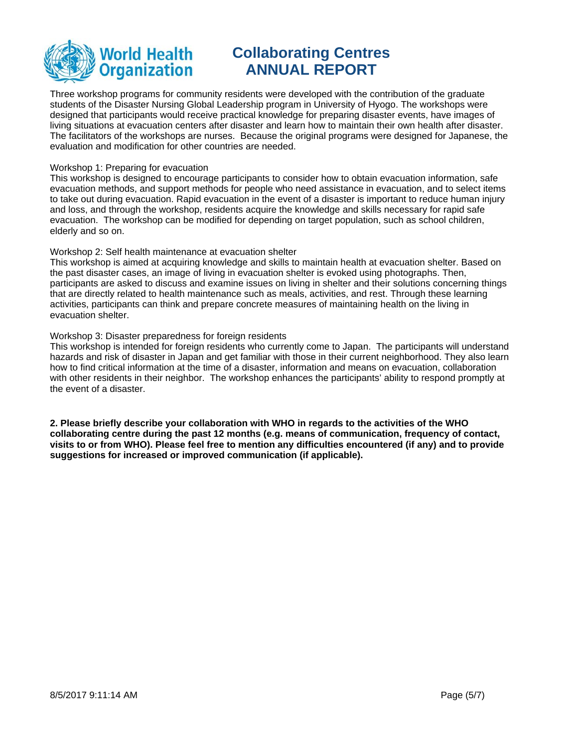

Three workshop programs for community residents were developed with the contribution of the graduate students of the Disaster Nursing Global Leadership program in University of Hyogo. The workshops were designed that participants would receive practical knowledge for preparing disaster events, have images of living situations at evacuation centers after disaster and learn how to maintain their own health after disaster. The facilitators of the workshops are nurses. Because the original programs were designed for Japanese, the evaluation and modification for other countries are needed.

#### Workshop 1: Preparing for evacuation

This workshop is designed to encourage participants to consider how to obtain evacuation information, safe evacuation methods, and support methods for people who need assistance in evacuation, and to select items to take out during evacuation. Rapid evacuation in the event of a disaster is important to reduce human injury and loss, and through the workshop, residents acquire the knowledge and skills necessary for rapid safe evacuation. The workshop can be modified for depending on target population, such as school children, elderly and so on.

#### Workshop 2: Self health maintenance at evacuation shelter

This workshop is aimed at acquiring knowledge and skills to maintain health at evacuation shelter. Based on the past disaster cases, an image of living in evacuation shelter is evoked using photographs. Then, participants are asked to discuss and examine issues on living in shelter and their solutions concerning things that are directly related to health maintenance such as meals, activities, and rest. Through these learning activities, participants can think and prepare concrete measures of maintaining health on the living in evacuation shelter.

#### Workshop 3: Disaster preparedness for foreign residents

This workshop is intended for foreign residents who currently come to Japan. The participants will understand hazards and risk of disaster in Japan and get familiar with those in their current neighborhood. They also learn how to find critical information at the time of a disaster, information and means on evacuation, collaboration with other residents in their neighbor. The workshop enhances the participants' ability to respond promptly at the event of a disaster.

**2. Please briefly describe your collaboration with WHO in regards to the activities of the WHO collaborating centre during the past 12 months (e.g. means of communication, frequency of contact, visits to or from WHO). Please feel free to mention any difficulties encountered (if any) and to provide suggestions for increased or improved communication (if applicable).**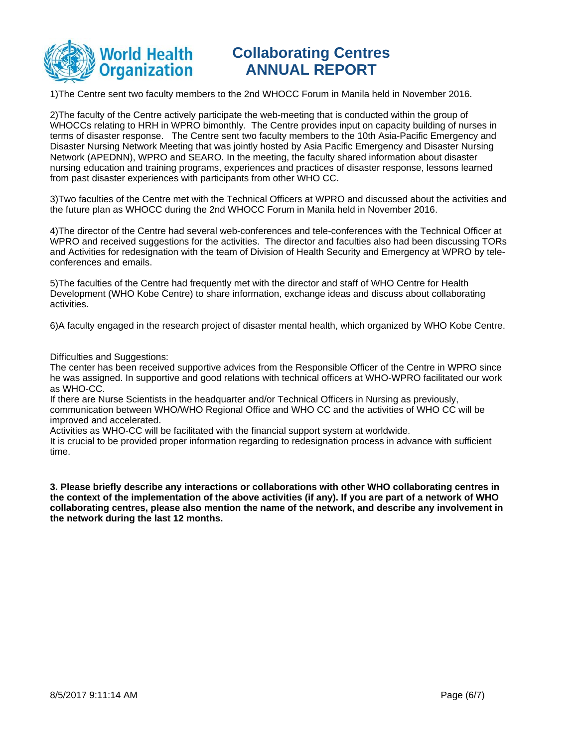

1)The Centre sent two faculty members to the 2nd WHOCC Forum in Manila held in November 2016.

2)The faculty of the Centre actively participate the web-meeting that is conducted within the group of WHOCCs relating to HRH in WPRO bimonthly. The Centre provides input on capacity building of nurses in terms of disaster response. The Centre sent two faculty members to the 10th Asia-Pacific Emergency and Disaster Nursing Network Meeting that was jointly hosted by Asia Pacific Emergency and Disaster Nursing Network (APEDNN), WPRO and SEARO. In the meeting, the faculty shared information about disaster nursing education and training programs, experiences and practices of disaster response, lessons learned from past disaster experiences with participants from other WHO CC.

3)Two faculties of the Centre met with the Technical Officers at WPRO and discussed about the activities and the future plan as WHOCC during the 2nd WHOCC Forum in Manila held in November 2016.

4)The director of the Centre had several web-conferences and tele-conferences with the Technical Officer at WPRO and received suggestions for the activities. The director and faculties also had been discussing TORs and Activities for redesignation with the team of Division of Health Security and Emergency at WPRO by teleconferences and emails.

5)The faculties of the Centre had frequently met with the director and staff of WHO Centre for Health Development (WHO Kobe Centre) to share information, exchange ideas and discuss about collaborating activities.

6)A faculty engaged in the research project of disaster mental health, which organized by WHO Kobe Centre.

#### Difficulties and Suggestions:

The center has been received supportive advices from the Responsible Officer of the Centre in WPRO since he was assigned. In supportive and good relations with technical officers at WHO-WPRO facilitated our work as WHO-CC.

If there are Nurse Scientists in the headquarter and/or Technical Officers in Nursing as previously, communication between WHO/WHO Regional Office and WHO CC and the activities of WHO CC will be improved and accelerated.

Activities as WHO-CC will be facilitated with the financial support system at worldwide.

It is crucial to be provided proper information regarding to redesignation process in advance with sufficient time.

**3. Please briefly describe any interactions or collaborations with other WHO collaborating centres in the context of the implementation of the above activities (if any). If you are part of a network of WHO collaborating centres, please also mention the name of the network, and describe any involvement in the network during the last 12 months.**